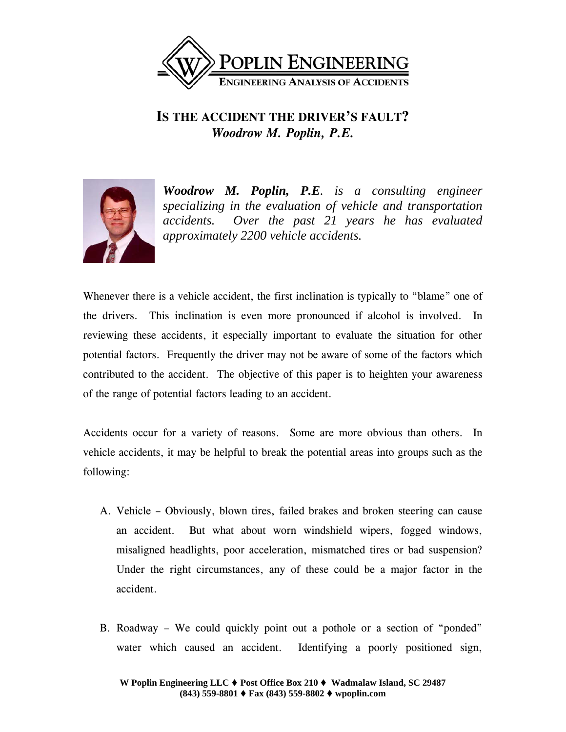

# **IS THE ACCIDENT THE DRIVER'S FAULT?**  *Woodrow M. Poplin, P.E.*



*Woodrow M. Poplin, P.E. is a consulting engineer specializing in the evaluation of vehicle and transportation accidents. Over the past 21 years he has evaluated approximately 2200 vehicle accidents.* 

Whenever there is a vehicle accident, the first inclination is typically to "blame" one of the drivers. This inclination is even more pronounced if alcohol is involved. In reviewing these accidents, it especially important to evaluate the situation for other potential factors. Frequently the driver may not be aware of some of the factors which contributed to the accident. The objective of this paper is to heighten your awareness of the range of potential factors leading to an accident.

Accidents occur for a variety of reasons. Some are more obvious than others. In vehicle accidents, it may be helpful to break the potential areas into groups such as the following:

- A. Vehicle Obviously, blown tires, failed brakes and broken steering can cause an accident. But what about worn windshield wipers, fogged windows, misaligned headlights, poor acceleration, mismatched tires or bad suspension? Under the right circumstances, any of these could be a major factor in the accident.
- B. Roadway We could quickly point out a pothole or a section of "ponded" water which caused an accident. Identifying a poorly positioned sign,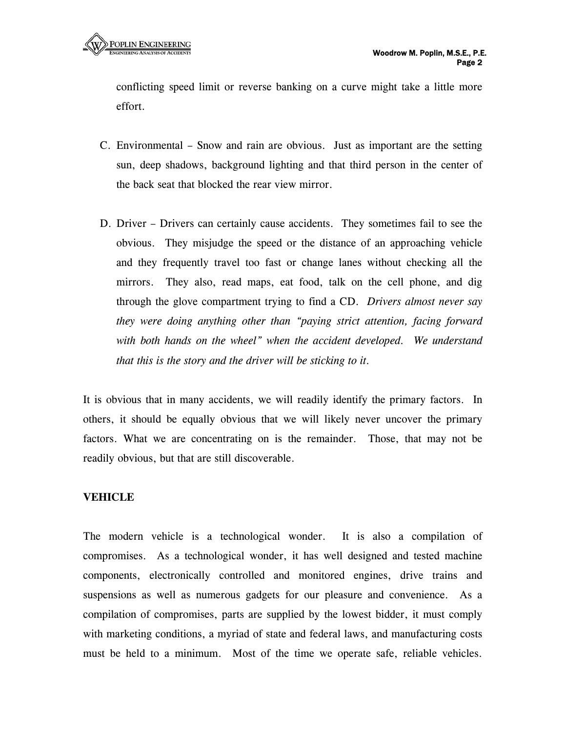conflicting speed limit or reverse banking on a curve might take a little more effort.

- C. Environmental Snow and rain are obvious. Just as important are the setting sun, deep shadows, background lighting and that third person in the center of the back seat that blocked the rear view mirror.
- D. Driver Drivers can certainly cause accidents. They sometimes fail to see the obvious. They misjudge the speed or the distance of an approaching vehicle and they frequently travel too fast or change lanes without checking all the mirrors. They also, read maps, eat food, talk on the cell phone, and dig through the glove compartment trying to find a CD. *Drivers almost never say they were doing anything other than "paying strict attention, facing forward with both hands on the wheel" when the accident developed. We understand that this is the story and the driver will be sticking to it.*

It is obvious that in many accidents, we will readily identify the primary factors. In others, it should be equally obvious that we will likely never uncover the primary factors. What we are concentrating on is the remainder. Those, that may not be readily obvious, but that are still discoverable.

## **VEHICLE**

The modern vehicle is a technological wonder. It is also a compilation of compromises. As a technological wonder, it has well designed and tested machine components, electronically controlled and monitored engines, drive trains and suspensions as well as numerous gadgets for our pleasure and convenience. As a compilation of compromises, parts are supplied by the lowest bidder, it must comply with marketing conditions, a myriad of state and federal laws, and manufacturing costs must be held to a minimum. Most of the time we operate safe, reliable vehicles.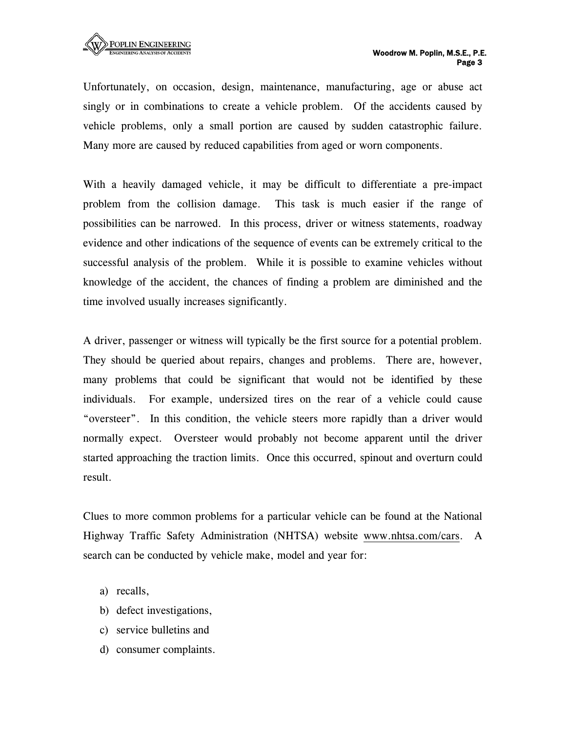Unfortunately, on occasion, design, maintenance, manufacturing, age or abuse act singly or in combinations to create a vehicle problem. Of the accidents caused by vehicle problems, only a small portion are caused by sudden catastrophic failure. Many more are caused by reduced capabilities from aged or worn components.

With a heavily damaged vehicle, it may be difficult to differentiate a pre-impact problem from the collision damage. This task is much easier if the range of possibilities can be narrowed. In this process, driver or witness statements, roadway evidence and other indications of the sequence of events can be extremely critical to the successful analysis of the problem. While it is possible to examine vehicles without knowledge of the accident, the chances of finding a problem are diminished and the time involved usually increases significantly.

A driver, passenger or witness will typically be the first source for a potential problem. They should be queried about repairs, changes and problems. There are, however, many problems that could be significant that would not be identified by these individuals. For example, undersized tires on the rear of a vehicle could cause "oversteer". In this condition, the vehicle steers more rapidly than a driver would normally expect. Oversteer would probably not become apparent until the driver started approaching the traction limits. Once this occurred, spinout and overturn could result.

Clues to more common problems for a particular vehicle can be found at the National Highway Traffic Safety Administration (NHTSA) website www.nhtsa.com/cars. A search can be conducted by vehicle make, model and year for:

- a) recalls,
- b) defect investigations,
- c) service bulletins and
- d) consumer complaints.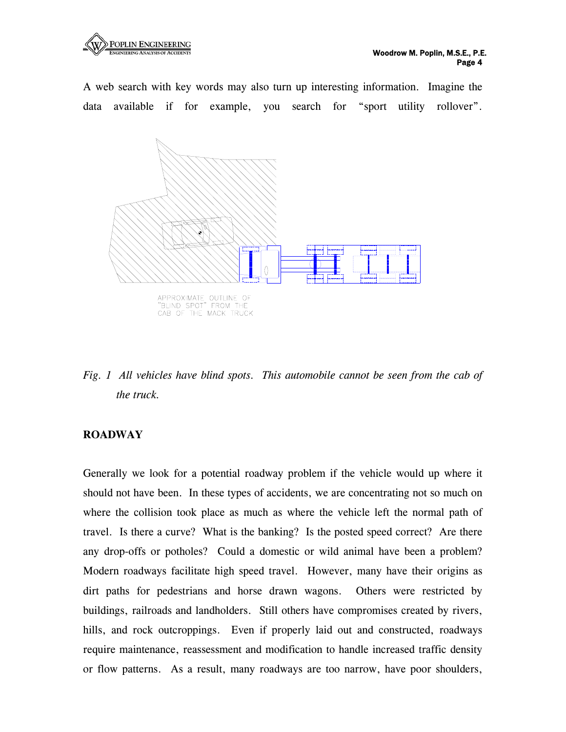

A web search with key words may also turn up interesting information. Imagine the data available if for example, you search for "sport utility rollover".



*Fig. 1 All vehicles have blind spots. This automobile cannot be seen from the cab of the truck.*

#### **ROADWAY**

Generally we look for a potential roadway problem if the vehicle would up where it should not have been. In these types of accidents, we are concentrating not so much on where the collision took place as much as where the vehicle left the normal path of travel. Is there a curve? What is the banking? Is the posted speed correct? Are there any drop-offs or potholes? Could a domestic or wild animal have been a problem? Modern roadways facilitate high speed travel. However, many have their origins as dirt paths for pedestrians and horse drawn wagons. Others were restricted by buildings, railroads and landholders. Still others have compromises created by rivers, hills, and rock outcroppings. Even if properly laid out and constructed, roadways require maintenance, reassessment and modification to handle increased traffic density or flow patterns. As a result, many roadways are too narrow, have poor shoulders,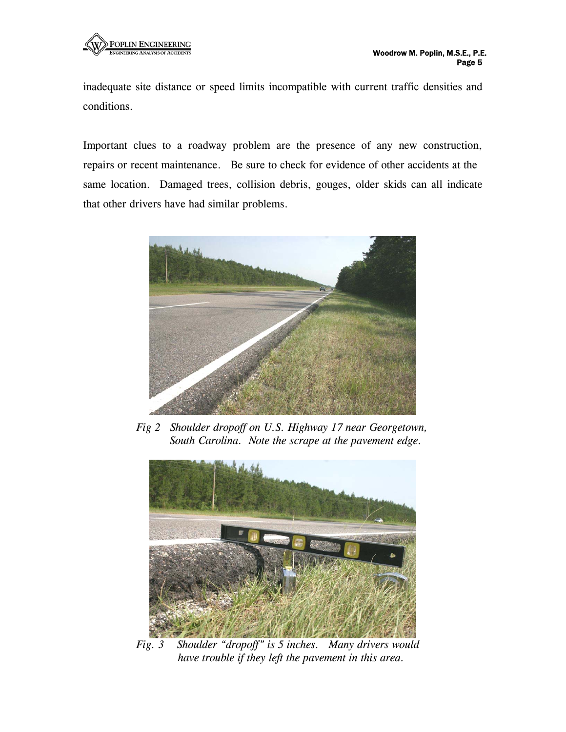inadequate site distance or speed limits incompatible with current traffic densities and conditions.

Important clues to a roadway problem are the presence of any new construction, repairs or recent maintenance. Be sure to check for evidence of other accidents at the same location. Damaged trees, collision debris, gouges, older skids can all indicate that other drivers have had similar problems.



 *Fig 2 Shoulder dropoff on U.S. Highway 17 near Georgetown, South Carolina. Note the scrape at the pavement edge.* 



 *Fig. 3 Shoulder "dropoff" is 5 inches. Many drivers would have trouble if they left the pavement in this area.*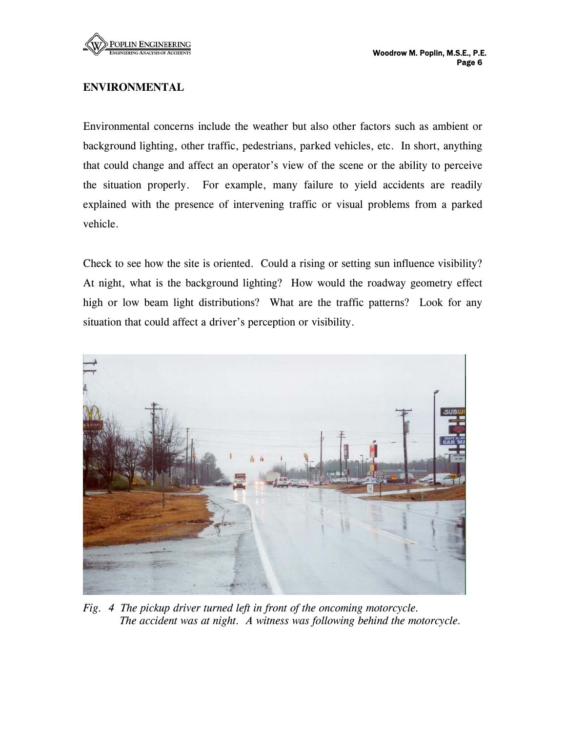

# **ENVIRONMENTAL**

Environmental concerns include the weather but also other factors such as ambient or background lighting, other traffic, pedestrians, parked vehicles, etc. In short, anything that could change and affect an operator's view of the scene or the ability to perceive the situation properly. For example, many failure to yield accidents are readily explained with the presence of intervening traffic or visual problems from a parked vehicle.

Check to see how the site is oriented. Could a rising or setting sun influence visibility? At night, what is the background lighting? How would the roadway geometry effect high or low beam light distributions? What are the traffic patterns? Look for any situation that could affect a driver's perception or visibility.



*Fig. 4 The pickup driver turned left in front of the oncoming motorcycle. The accident was at night. A witness was following behind the motorcycle.*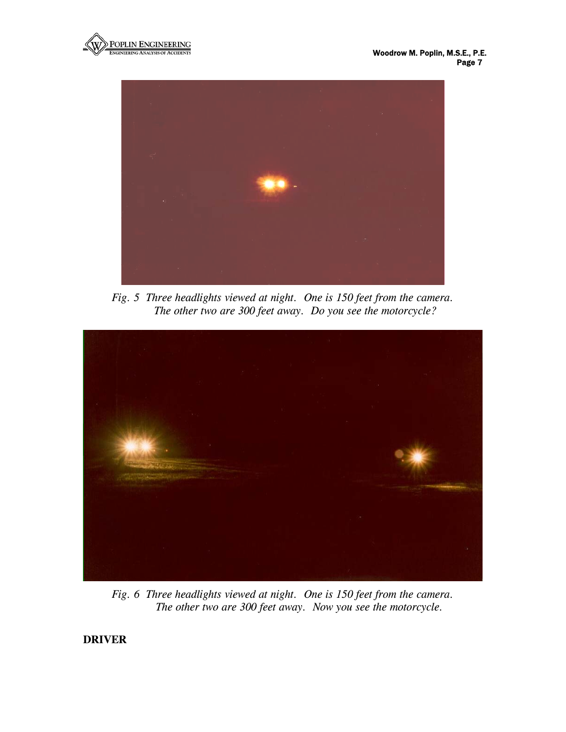



*Fig. 5 Three headlights viewed at night. One is 150 feet from the camera. The other two are 300 feet away. Do you see the motorcycle?* 



*Fig. 6 Three headlights viewed at night. One is 150 feet from the camera. The other two are 300 feet away. Now you see the motorcycle.* 

**DRIVER**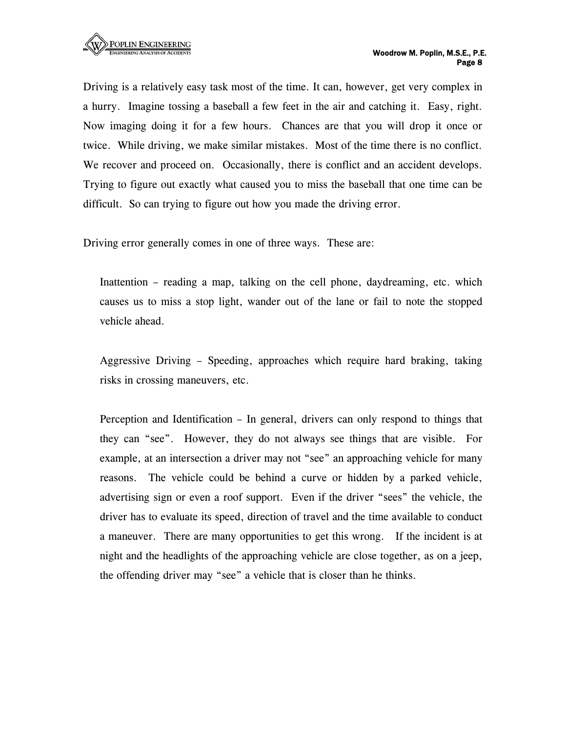Driving is a relatively easy task most of the time. It can, however, get very complex in a hurry. Imagine tossing a baseball a few feet in the air and catching it. Easy, right. Now imaging doing it for a few hours. Chances are that you will drop it once or twice. While driving, we make similar mistakes. Most of the time there is no conflict. We recover and proceed on. Occasionally, there is conflict and an accident develops. Trying to figure out exactly what caused you to miss the baseball that one time can be difficult. So can trying to figure out how you made the driving error.

Driving error generally comes in one of three ways. These are:

Inattention – reading a map, talking on the cell phone, daydreaming, etc. which causes us to miss a stop light, wander out of the lane or fail to note the stopped vehicle ahead.

Aggressive Driving – Speeding, approaches which require hard braking, taking risks in crossing maneuvers, etc.

Perception and Identification – In general, drivers can only respond to things that they can "see". However, they do not always see things that are visible. For example, at an intersection a driver may not "see" an approaching vehicle for many reasons. The vehicle could be behind a curve or hidden by a parked vehicle, advertising sign or even a roof support. Even if the driver "sees" the vehicle, the driver has to evaluate its speed, direction of travel and the time available to conduct a maneuver. There are many opportunities to get this wrong. If the incident is at night and the headlights of the approaching vehicle are close together, as on a jeep, the offending driver may "see" a vehicle that is closer than he thinks.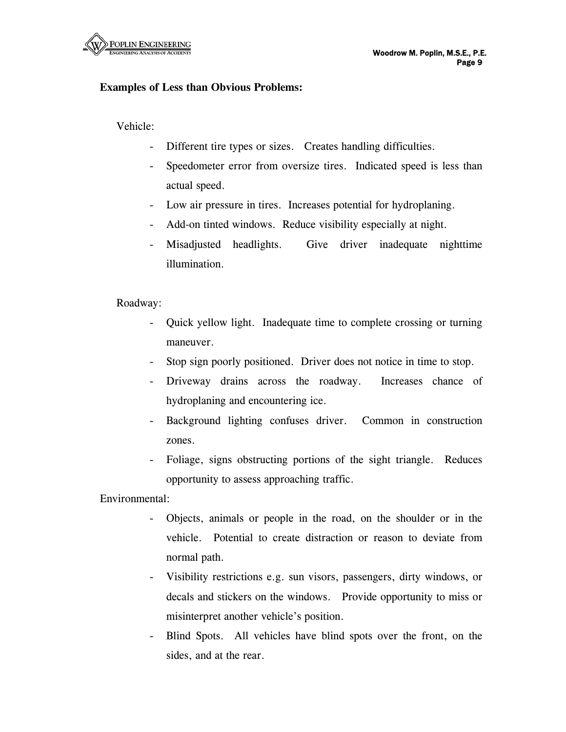

## **Examples of Less than Obvious Problems:**

Vehicle:

- Different tire types or sizes. Creates handling difficulties.
- Speedometer error from oversize tires. Indicated speed is less than actual speed.
- Low air pressure in tires. Increases potential for hydroplaning.
- Add-on tinted windows. Reduce visibility especially at night.
- Misadjusted headlights. Give driver inadequate nighttime illumination.

Roadway:

- Quick yellow light. Inadequate time to complete crossing or turning maneuver.
- Stop sign poorly positioned. Driver does not notice in time to stop.
- Driveway drains across the roadway. Increases chance of hydroplaning and encountering ice.
- Background lighting confuses driver. Common in construction zones.
- Foliage, signs obstructing portions of the sight triangle. Reduces opportunity to assess approaching traffic.

Environmental:

- Objects, animals or people in the road, on the shoulder or in the vehicle. Potential to create distraction or reason to deviate from normal path.
- Visibility restrictions e.g. sun visors, passengers, dirty windows, or decals and stickers on the windows. Provide opportunity to miss or misinterpret another vehicle's position.
- Blind Spots. All vehicles have blind spots over the front, on the sides, and at the rear.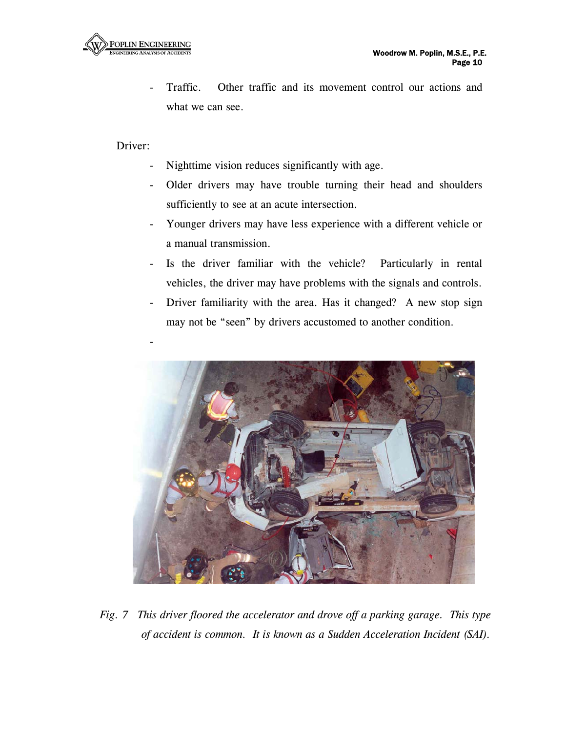Traffic. Other traffic and its movement control our actions and what we can see.

Driver:

- Nighttime vision reduces significantly with age.
- Older drivers may have trouble turning their head and shoulders sufficiently to see at an acute intersection.
- Younger drivers may have less experience with a different vehicle or a manual transmission.
- Is the driver familiar with the vehicle? Particularly in rental vehicles, the driver may have problems with the signals and controls.
- Driver familiarity with the area. Has it changed? A new stop sign may not be "seen" by drivers accustomed to another condition.



*Fig. 7 This driver floored the accelerator and drove off a parking garage. This type of accident is common. It is known as a Sudden Acceleration Incident (SAI).*